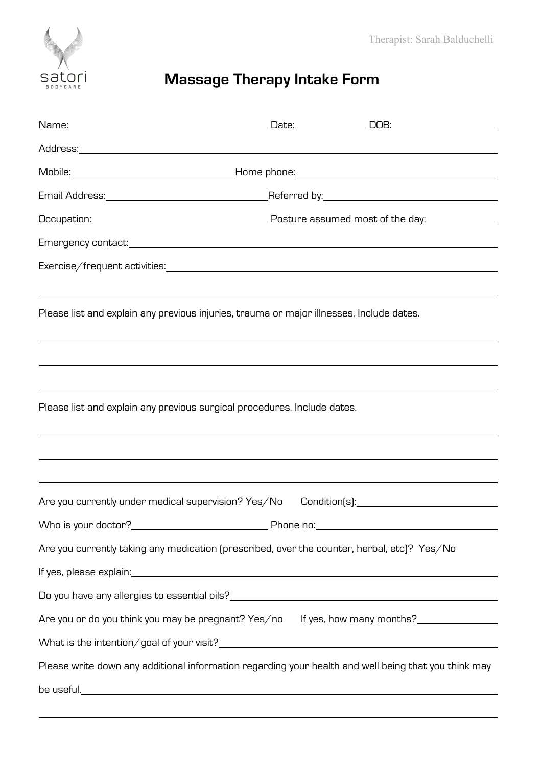

## **Massage Therapy Intake Form**

|                                                                                                                                                              | <u> 1989 - Andrea Santana, amerikana amerikana amerikana amerikana amerikana amerikana amerikana amerikana amerika</u> |
|--------------------------------------------------------------------------------------------------------------------------------------------------------------|------------------------------------------------------------------------------------------------------------------------|
| Please list and explain any previous injuries, trauma or major illnesses. Include dates.                                                                     |                                                                                                                        |
|                                                                                                                                                              |                                                                                                                        |
|                                                                                                                                                              |                                                                                                                        |
| Please list and explain any previous surgical procedures. Include dates.<br>,我们也不会有什么。""我们的人,我们也不会有什么?""我们的人,我们也不会有什么?""我们的人,我们也不会有什么?""我们的人,我们也不会有什么?""我们的人 |                                                                                                                        |
|                                                                                                                                                              |                                                                                                                        |
|                                                                                                                                                              |                                                                                                                        |
|                                                                                                                                                              |                                                                                                                        |
|                                                                                                                                                              |                                                                                                                        |
| Are you currently taking any medication (prescribed, over the counter, herbal, etc)? Yes/No                                                                  |                                                                                                                        |
|                                                                                                                                                              | If yes, please explain: <u>contract and a set of the set of the set of the set of the set of the set of the set of</u> |
|                                                                                                                                                              |                                                                                                                        |
|                                                                                                                                                              | Are you or do you think you may be pregnant? Yes/no If yes, how many months?                                           |
|                                                                                                                                                              |                                                                                                                        |
| Please write down any additional information regarding your health and well being that you think may                                                         |                                                                                                                        |
|                                                                                                                                                              |                                                                                                                        |